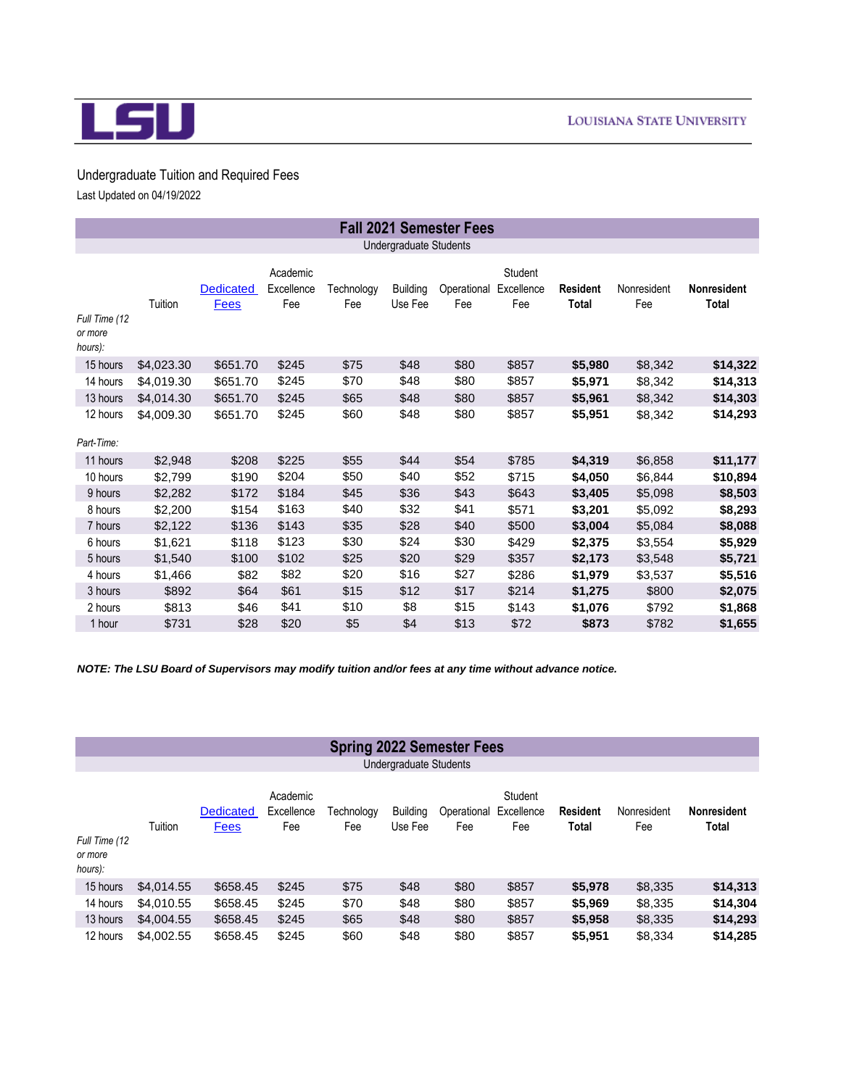

## Undergraduate Tuition and Required Fees Last Updated on 04/19/2022

|                                     | <b>Fall 2021 Semester Fees</b> |                          |                               |                   |                            |                    |                              |                          |                    |                             |  |
|-------------------------------------|--------------------------------|--------------------------|-------------------------------|-------------------|----------------------------|--------------------|------------------------------|--------------------------|--------------------|-----------------------------|--|
|                                     |                                |                          |                               |                   | Undergraduate Students     |                    |                              |                          |                    |                             |  |
| Full Time (12<br>or more<br>hours): | Tuition                        | Dedicated<br><b>Fees</b> | Academic<br>Excellence<br>Fee | Technology<br>Fee | <b>Building</b><br>Use Fee | Operational<br>Fee | Student<br>Excellence<br>Fee | <b>Resident</b><br>Total | Nonresident<br>Fee | <b>Nonresident</b><br>Total |  |
| 15 hours                            | \$4,023.30                     | \$651.70                 | \$245                         | \$75              | \$48                       | \$80               | \$857                        | \$5,980                  | \$8,342            | \$14,322                    |  |
| 14 hours                            | \$4,019.30                     | \$651.70                 | \$245                         | \$70              | \$48                       | \$80               | \$857                        | \$5,971                  | \$8,342            | \$14,313                    |  |
| 13 hours                            | \$4,014.30                     | \$651.70                 | \$245                         | \$65              | \$48                       | \$80               | \$857                        | \$5,961                  | \$8,342            | \$14,303                    |  |
| 12 hours<br>Part-Time:              | \$4,009.30                     | \$651.70                 | \$245                         | \$60              | \$48                       | \$80               | \$857                        | \$5,951                  | \$8,342            | \$14,293                    |  |
| 11 hours                            | \$2,948                        | \$208                    | \$225                         | \$55              | \$44                       | \$54               | \$785                        | \$4,319                  | \$6,858            | \$11,177                    |  |
| 10 hours                            | \$2,799                        | \$190                    | \$204                         | \$50              | \$40                       | \$52               | \$715                        | \$4,050                  | \$6,844            | \$10,894                    |  |
| 9 hours                             | \$2,282                        | \$172                    | \$184                         | \$45              | \$36                       | \$43               | \$643                        | \$3,405                  | \$5,098            | \$8,503                     |  |
| 8 hours                             | \$2,200                        | \$154                    | \$163                         | \$40              | \$32                       | \$41               | \$571                        | \$3,201                  | \$5,092            | \$8,293                     |  |
| 7 hours                             | \$2,122                        | \$136                    | \$143                         | \$35              | \$28                       | \$40               | \$500                        | \$3,004                  | \$5,084            | \$8,088                     |  |
| 6 hours                             | \$1,621                        | \$118                    | \$123                         | \$30              | \$24                       | \$30               | \$429                        | \$2,375                  | \$3,554            | \$5,929                     |  |
| 5 hours                             | \$1,540                        | \$100                    | \$102                         | \$25              | \$20                       | \$29               | \$357                        | \$2,173                  | \$3,548            | \$5,721                     |  |
| 4 hours                             | \$1,466                        | \$82                     | \$82                          | \$20              | \$16                       | \$27               | \$286                        | \$1,979                  | \$3,537            | \$5,516                     |  |
| 3 hours                             | \$892                          | \$64                     | \$61                          | \$15              | \$12                       | \$17               | \$214                        | \$1,275                  | \$800              | \$2,075                     |  |
| 2 hours                             | \$813                          | \$46                     | \$41                          | \$10              | \$8                        | \$15               | \$143                        | \$1,076                  | \$792              | \$1,868                     |  |
| 1 hour                              | \$731                          | \$28                     | \$20                          | \$5               | \$4                        | \$13               | \$72                         | \$873                    | \$782              | \$1,655                     |  |

*NOTE: The LSU Board of Supervisors may modify tuition and/or fees at any time without advance notice.*

## **Spring 2022 Semester Fees** Undergraduate Students

| Full Time (12<br>or more<br>hours): | Tuition    | <b>Dedicated</b><br>Fees | Academic<br>Excellence<br>Fee | Technology<br>Fee | Building<br>Use Fee | Operational<br>Fee | Student<br>Excellence<br>Fee | <b>Resident</b><br>Total | Nonresident<br>Fee | <b>Nonresident</b><br>Total |
|-------------------------------------|------------|--------------------------|-------------------------------|-------------------|---------------------|--------------------|------------------------------|--------------------------|--------------------|-----------------------------|
| 15 hours                            | \$4,014.55 | \$658.45                 | \$245                         | \$75              | \$48                | \$80               | \$857                        | \$5,978                  | \$8,335            | \$14,313                    |
| 14 hours                            | \$4,010.55 | \$658.45                 | \$245                         | \$70              | \$48                | \$80               | \$857                        | \$5,969                  | \$8,335            | \$14,304                    |
| 13 hours                            | \$4,004.55 | \$658.45                 | \$245                         | \$65              | \$48                | \$80               | \$857                        | \$5,958                  | \$8,335            | \$14,293                    |
| 12 hours                            | \$4,002.55 | \$658.45                 | \$245                         | \$60              | \$48                | \$80               | \$857                        | \$5,951                  | \$8,334            | \$14.285                    |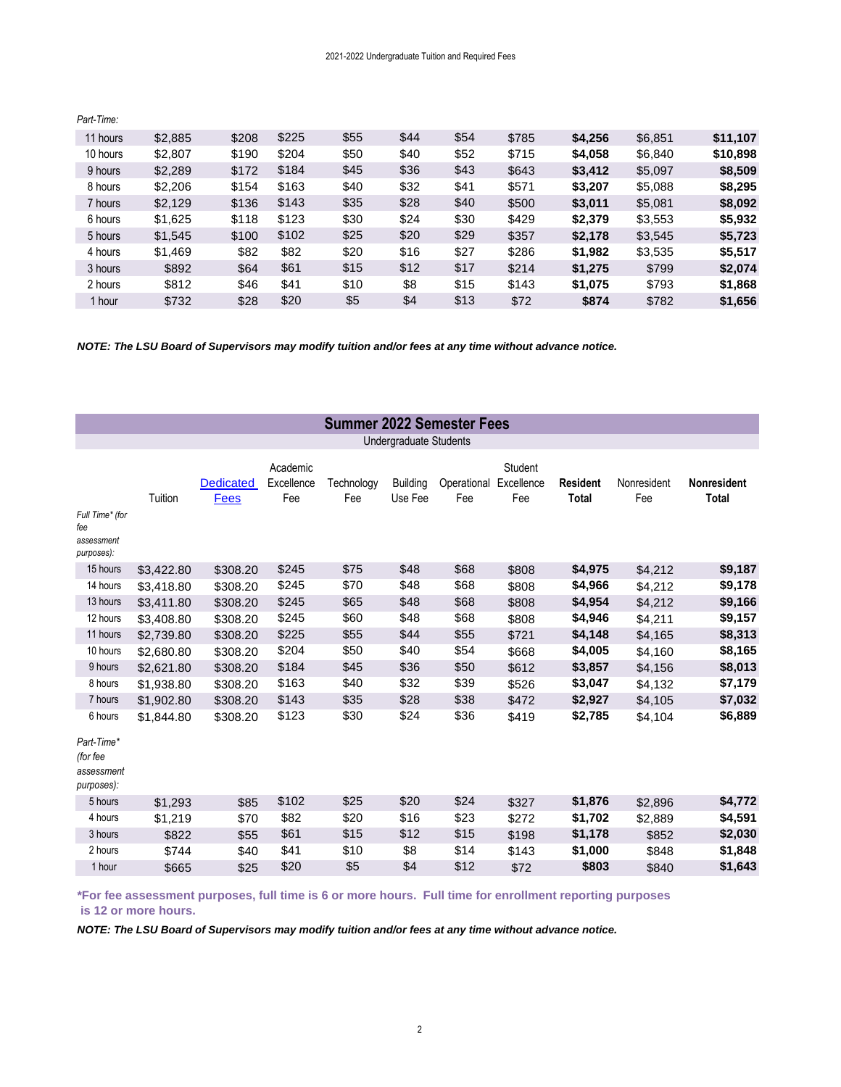| 11 hours | \$2,885 | \$208 | \$225 | \$55 | \$44 | \$54 | \$785 | \$4,256 | \$6,851 | \$11,107 |
|----------|---------|-------|-------|------|------|------|-------|---------|---------|----------|
| 10 hours | \$2,807 | \$190 | \$204 | \$50 | \$40 | \$52 | \$715 | \$4.058 | \$6,840 | \$10,898 |
| 9 hours  | \$2,289 | \$172 | \$184 | \$45 | \$36 | \$43 | \$643 | \$3,412 | \$5,097 | \$8,509  |
| 8 hours  | \$2,206 | \$154 | \$163 | \$40 | \$32 | \$41 | \$571 | \$3,207 | \$5,088 | \$8,295  |
| 7 hours  | \$2,129 | \$136 | \$143 | \$35 | \$28 | \$40 | \$500 | \$3,011 | \$5,081 | \$8,092  |
| 6 hours  | \$1,625 | \$118 | \$123 | \$30 | \$24 | \$30 | \$429 | \$2,379 | \$3,553 | \$5,932  |
| 5 hours  | \$1,545 | \$100 | \$102 | \$25 | \$20 | \$29 | \$357 | \$2,178 | \$3,545 | \$5,723  |
| 4 hours  | \$1,469 | \$82  | \$82  | \$20 | \$16 | \$27 | \$286 | \$1,982 | \$3,535 | \$5,517  |
| 3 hours  | \$892   | \$64  | \$61  | \$15 | \$12 | \$17 | \$214 | \$1,275 | \$799   | \$2,074  |
| 2 hours  | \$812   | \$46  | \$41  | \$10 | \$8  | \$15 | \$143 | \$1,075 | \$793   | \$1,868  |
| 1 hour   | \$732   | \$28  | \$20  | \$5  | \$4  | \$13 | \$72  | \$874   | \$782   | \$1,656  |

*Part-Time:* 

*NOTE: The LSU Board of Supervisors may modify tuition and/or fees at any time without advance notice.*

|                                                               |                          |                                 |                               | <b>Summer 2022 Semester Fees</b> |                               |                    |                              |                                 |                    |                                    |
|---------------------------------------------------------------|--------------------------|---------------------------------|-------------------------------|----------------------------------|-------------------------------|--------------------|------------------------------|---------------------------------|--------------------|------------------------------------|
|                                                               |                          |                                 |                               |                                  | <b>Undergraduate Students</b> |                    |                              |                                 |                    |                                    |
| Full Time* (for<br>fee<br>assessment<br>purposes):            | Tuition                  | <b>Dedicated</b><br><b>Fees</b> | Academic<br>Excellence<br>Fee | Technology<br>Fee                | <b>Building</b><br>Use Fee    | Operational<br>Fee | Student<br>Excellence<br>Fee | <b>Resident</b><br><b>Total</b> | Nonresident<br>Fee | <b>Nonresident</b><br><b>Total</b> |
| 15 hours                                                      | \$3,422.80               | \$308.20                        | \$245                         | \$75                             | \$48                          | \$68               | \$808                        | \$4,975                         | \$4,212            | \$9,187                            |
| 14 hours<br>13 hours                                          | \$3,418.80<br>\$3,411.80 | \$308.20<br>\$308.20            | \$245<br>\$245                | \$70<br>\$65                     | \$48<br>\$48                  | \$68<br>\$68       | \$808<br>\$808               | \$4,966<br>\$4,954              | \$4,212<br>\$4,212 | \$9,178<br>\$9,166                 |
| 12 hours                                                      | \$3,408.80               | \$308.20                        | \$245                         | \$60                             | \$48                          | \$68               | \$808                        | \$4,946                         | \$4,211            | \$9,157                            |
| 11 hours                                                      | \$2,739.80               | \$308.20                        | \$225                         | \$55                             | \$44                          | \$55               | \$721                        | \$4,148                         | \$4,165            | \$8,313                            |
| 10 hours                                                      | \$2,680.80               | \$308.20                        | \$204                         | \$50                             | \$40                          | \$54               | \$668                        | \$4,005                         | \$4,160            | \$8,165                            |
| 9 hours                                                       | \$2,621.80               | \$308.20                        | \$184                         | \$45                             | \$36                          | \$50               | \$612                        | \$3,857                         | \$4,156            | \$8,013                            |
| 8 hours                                                       | \$1,938.80               | \$308.20                        | \$163                         | \$40                             | \$32                          | \$39               | \$526                        | \$3,047                         | \$4,132            | \$7,179                            |
| 7 hours                                                       | \$1,902.80               | \$308.20                        | \$143                         | \$35                             | \$28                          | \$38               | \$472                        | \$2,927                         | \$4,105            | \$7,032                            |
| 6 hours<br>Part-Time*<br>(for fee<br>assessment<br>purposes): | \$1.844.80               | \$308.20                        | \$123                         | \$30                             | \$24                          | \$36               | \$419                        | \$2,785                         | \$4,104            | \$6,889                            |
| 5 hours                                                       | \$1,293                  | \$85                            | \$102                         | \$25                             | \$20                          | \$24               | \$327                        | \$1,876                         | \$2,896            | \$4,772                            |
| 4 hours                                                       | \$1,219                  | \$70                            | \$82                          | \$20                             | \$16                          | \$23               | \$272                        | \$1,702                         | \$2,889            | \$4,591                            |
| 3 hours                                                       | \$822                    | \$55                            | \$61                          | \$15                             | \$12                          | \$15               | \$198                        | \$1,178                         | \$852              | \$2,030                            |
| 2 hours                                                       | \$744                    | \$40                            | \$41                          | \$10                             | \$8                           | \$14               | \$143                        | \$1,000                         | \$848              | \$1,848                            |
| 1 hour                                                        | \$665                    | \$25                            | \$20                          | \$5                              | \$4                           | \$12               | \$72                         | \$803                           | \$840              | \$1,643                            |

**\*For fee assessment purposes, full time is 6 or more hours. Full time for enrollment reporting purposes is 12 or more hours.**

*NOTE: The LSU Board of Supervisors may modify tuition and/or fees at any time without advance notice.*